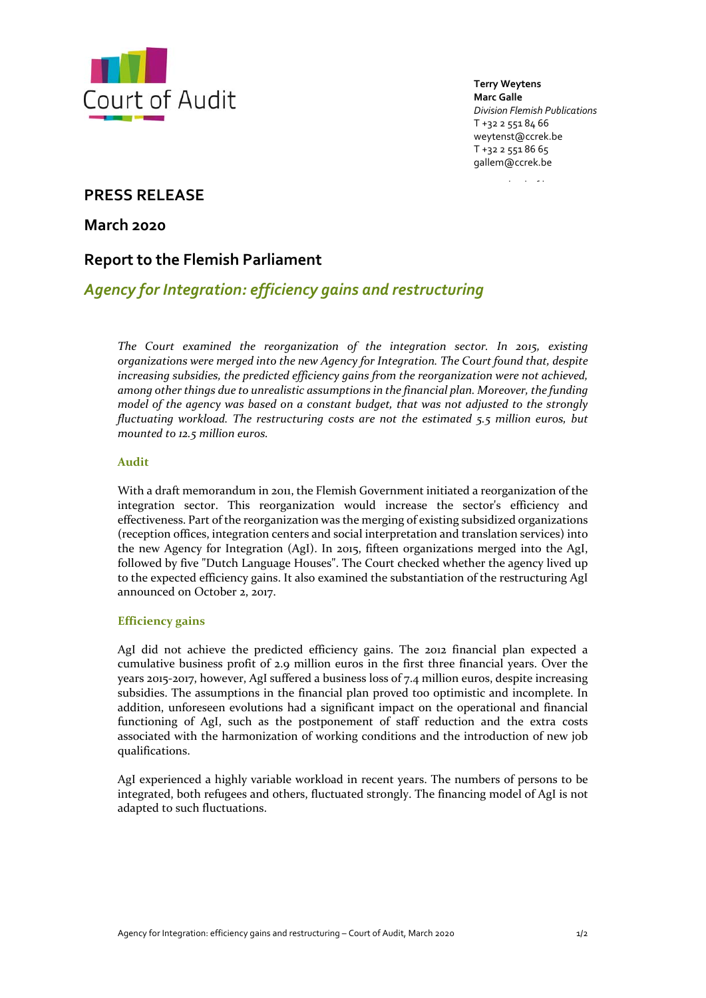

**Terry Weytens Marc Galle** *Division Flemish Publications* T +32 2 551 84 66 weytenst@ccrek.be T +32 2 551 86 65 gallem@ccrek.be

www.rekenhof.be

# **PRESS RELEASE**

**March 2020**

# **Report to the Flemish Parliament**

# *Agency for Integration: efficiency gains and restructuring*

*The Court examined the reorganization of the integration sector. In 2015, existing organizations were merged into the new Agency for Integration. The Court found that, despite increasing subsidies, the predicted efficiency gains from the reorganization were not achieved, among other things due to unrealistic assumptions in the financial plan. Moreover, the funding model of the agency was based on a constant budget, that was not adjusted to the strongly fluctuating workload. The restructuring costs are not the estimated 5.5 million euros, but mounted to 12.5 million euros.*

## **Audit**

With a draft memorandum in 2011, the Flemish Government initiated a reorganization of the integration sector. This reorganization would increase the sector's efficiency and effectiveness. Part of the reorganization was the merging of existing subsidized organizations (reception offices, integration centers and social interpretation and translation services) into the new Agency for Integration (AgI). In 2015, fifteen organizations merged into the AgI, followed by five "Dutch Language Houses". The Court checked whether the agency lived up to the expected efficiency gains. It also examined the substantiation of the restructuring AgI announced on October 2, 2017.

# **Efficiency gains**

AgI did not achieve the predicted efficiency gains. The 2012 financial plan expected a cumulative business profit of 2.9 million euros in the first three financial years. Over the years 2015‐2017, however, AgI suffered a business loss of 7.4 million euros, despite increasing subsidies. The assumptions in the financial plan proved too optimistic and incomplete. In addition, unforeseen evolutions had a significant impact on the operational and financial functioning of AgI, such as the postponement of staff reduction and the extra costs associated with the harmonization of working conditions and the introduction of new job qualifications.

AgI experienced a highly variable workload in recent years. The numbers of persons to be integrated, both refugees and others, fluctuated strongly. The financing model of AgI is not adapted to such fluctuations.